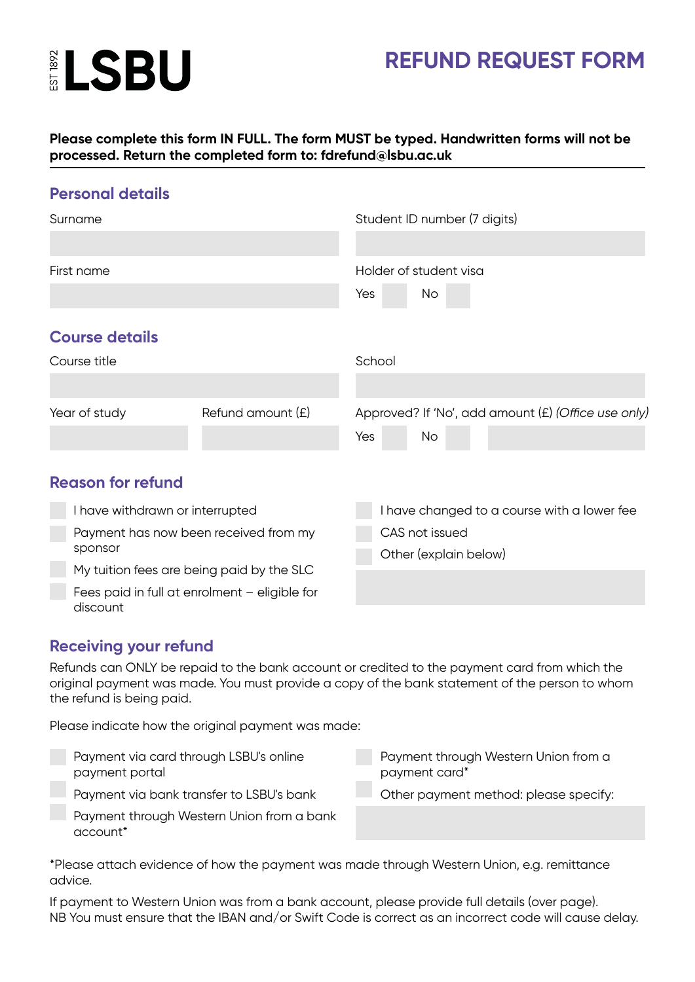

## **REFUND REQUEST FORM**

### **Please complete this form IN FULL. The form MUST be typed. Handwritten forms will not be processed. Return the completed form to: fdrefund@lsbu.ac.uk**

| <b>Personal details</b>                                   |                   |                                                     |    |  |  |  |
|-----------------------------------------------------------|-------------------|-----------------------------------------------------|----|--|--|--|
| Surname                                                   |                   | Student ID number (7 digits)                        |    |  |  |  |
|                                                           |                   |                                                     |    |  |  |  |
| First name                                                |                   | Holder of student visa                              |    |  |  |  |
|                                                           |                   | Yes                                                 | No |  |  |  |
| <b>Course details</b>                                     |                   |                                                     |    |  |  |  |
| Course title                                              |                   | School                                              |    |  |  |  |
|                                                           |                   |                                                     |    |  |  |  |
| Year of study                                             | Refund amount (£) | Approved? If 'No', add amount (£) (Office use only) |    |  |  |  |
|                                                           |                   | Yes                                                 | No |  |  |  |
|                                                           |                   |                                                     |    |  |  |  |
| <b>Reason for refund</b>                                  |                   |                                                     |    |  |  |  |
| I have withdrawn or interrupted                           |                   | I have changed to a course with a lower fee         |    |  |  |  |
| Payment has now been received from my<br>sponsor          |                   | CAS not issued                                      |    |  |  |  |
|                                                           |                   | Other (explain below)                               |    |  |  |  |
| My tuition fees are being paid by the SLC                 |                   |                                                     |    |  |  |  |
| Fees paid in full at enrolment - eligible for<br>discount |                   |                                                     |    |  |  |  |

## **Receiving your refund**

account\*

Refunds can ONLY be repaid to the bank account or credited to the payment card from which the original payment was made. You must provide a copy of the bank statement of the person to whom the refund is being paid.

Please indicate how the original payment was made:

Payment via card through LSBU's online payment portal Payment via bank transfer to LSBU's bank Payment through Western Union from a bank Payment through Western Union from a payment card\* Other payment method: please specify:

\*Please attach evidence of how the payment was made through Western Union, e.g. remittance advice.

If payment to Western Union was from a bank account, please provide full details (over page). NB You must ensure that the IBAN and/or Swift Code is correct as an incorrect code will cause delay.